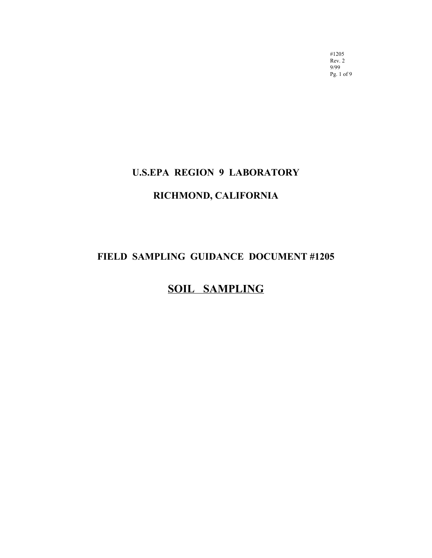#1205 Rev. 2 9/99 Pg. 1 of 9

# **U.S.EPA REGION 9 LABORATORY**

# **RICHMOND, CALIFORNIA**

# **FIELD SAMPLING GUIDANCE DOCUMENT #1205**

# **SOIL SAMPLING**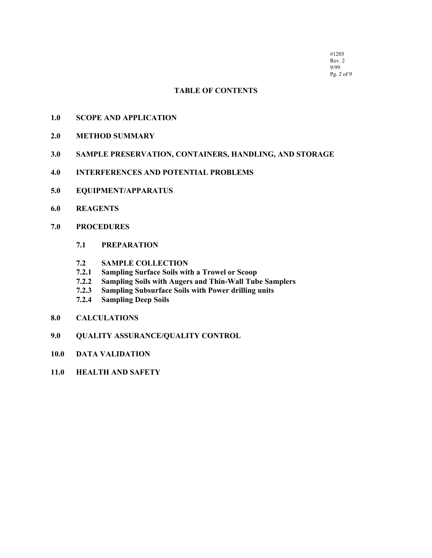#1205 Rev. 2 9/99 Pg. 2 of 9

# **TABLE OF CONTENTS**

- **[1.0 SCOPE AND APPLICATION](#page-2-0)**
- **[2.0 METHOD SUMMARY](#page-2-0)**
- **[3.0 SAMPLE PRESERVATION, CONTAINERS, HANDLING, AND STORAGE](#page-2-0)**
- **[4.0 INTERFERENCES AND POTENTIAL PROBLEMS](#page-3-0)**
- **[5.0 EQUIPMENT/APPARATUS](#page-3-0)**
- **[6.0 REAGENTS](#page-4-0)**
- **[7.0 PROCEDURES](#page-4-0)**
	- **7.1 PREPARATION**
	- **7.2 SAMPLE COLLECTION**
	- **7.2.1 Sampling Surface Soils with a Trowel or Scoop**
	- **Sampling Soils with Augers and Thin-Wall Tube Samplers**
	- **7.2.3 Sampling Subsurface Soils with Power drilling units**
	- **7.2.4 Sampling Deep Soils**
- **[8.0 CALCULATIONS](#page-7-0)**
- **[9.0 QUALITY ASSURANCE/QUALITY CONTROL](#page-7-0)**
- **[10.0 DATA VALIDATION](#page-7-0)**
- **[11.0 HEALTH AND SAFETY](#page-7-0)**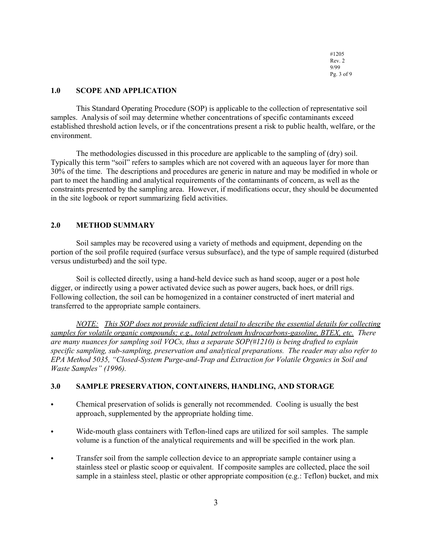#1205 Rev. 2 9/99 Pg. 3 of 9

# <span id="page-2-0"></span>**1.0 SCOPE AND APPLICATION**

This Standard Operating Procedure (SOP) is applicable to the collection of representative soil samples. Analysis of soil may determine whether concentrations of specific contaminants exceed established threshold action levels, or if the concentrations present a risk to public health, welfare, or the environment.

The methodologies discussed in this procedure are applicable to the sampling of (dry) soil. Typically this term "soil" refers to samples which are not covered with an aqueous layer for more than 30% of the time. The descriptions and procedures are generic in nature and may be modified in whole or part to meet the handling and analytical requirements of the contaminants of concern, as well as the constraints presented by the sampling area. However, if modifications occur, they should be documented in the site logbook or report summarizing field activities.

#### **2.0 METHOD SUMMARY**

Soil samples may be recovered using a variety of methods and equipment, depending on the portion of the soil profile required (surface versus subsurface), and the type of sample required (disturbed versus undisturbed) and the soil type.

Soil is collected directly, using a hand-held device such as hand scoop, auger or a post hole digger, or indirectly using a power activated device such as power augers, back hoes, or drill rigs. Following collection, the soil can be homogenized in a container constructed of inert material and transferred to the appropriate sample containers.

*NOTE: This SOP does not provide sufficient detail to describe the essential details for collecting samples for volatile organic compounds; e.g., total petroleum hydrocarbons-gasoline, BTEX, etc. There are many nuances for sampling soil VOCs, thus a separate SOP(#1210) is being drafted to explain specific sampling, sub-sampling, preservation and analytical preparations. The reader may also refer to EPA Method 5035, "Closed-System Purge-and-Trap and Extraction for Volatile Organics in Soil and Waste Samples" (1996).*

# **3.0 SAMPLE PRESERVATION, CONTAINERS, HANDLING, AND STORAGE**

- C Chemical preservation of solids is generally not recommended. Cooling is usually the best approach, supplemented by the appropriate holding time.
- Wide-mouth glass containers with Teflon-lined caps are utilized for soil samples. The sample volume is a function of the analytical requirements and will be specified in the work plan.
- Transfer soil from the sample collection device to an appropriate sample container using a stainless steel or plastic scoop or equivalent. If composite samples are collected, place the soil sample in a stainless steel, plastic or other appropriate composition (e.g.: Teflon) bucket, and mix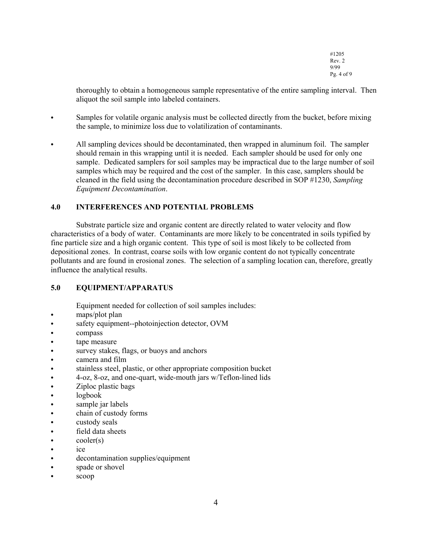#1205 Rev. 2 9/99 Pg. 4 of 9

<span id="page-3-0"></span>thoroughly to obtain a homogeneous sample representative of the entire sampling interval. Then aliquot the soil sample into labeled containers.

- Samples for volatile organic analysis must be collected directly from the bucket, before mixing the sample, to minimize loss due to volatilization of contaminants.
- All sampling devices should be decontaminated, then wrapped in aluminum foil. The sampler should remain in this wrapping until it is needed. Each sampler should be used for only one sample. Dedicated samplers for soil samples may be impractical due to the large number of soil samples which may be required and the cost of the sampler. In this case, samplers should be cleaned in the field using the decontamination procedure described in SOP #1230, *Sampling Equipment Decontamination*.

# **4.0 INTERFERENCES AND POTENTIAL PROBLEMS**

Substrate particle size and organic content are directly related to water velocity and flow characteristics of a body of water. Contaminants are more likely to be concentrated in soils typified by fine particle size and a high organic content. This type of soil is most likely to be collected from depositional zones. In contrast, coarse soils with low organic content do not typically concentrate pollutants and are found in erosional zones. The selection of a sampling location can, therefore, greatly influence the analytical results.

#### **5.0 EQUIPMENT/APPARATUS**

Equipment needed for collection of soil samples includes:

- $\cdot$  maps/plot plan
- safety equipment--photoinjection detector, OVM
- compass
- tape measure
- survey stakes, flags, or buoys and anchors
- camera and film
- $\bullet$  stainless steel, plastic, or other appropriate composition bucket
- C 4-oz, 8-oz, and one-quart, wide-mouth jars w/Teflon-lined lids
- $\bullet$  Ziploc plastic bags
- $\bullet$  logbook
- sample jar labels
- chain of custody forms
- custody seals
- field data sheets
- $\bullet$  cooler(s)
- $\bullet$  ice
- decontamination supplies/equipment
- spade or shovel
- scoop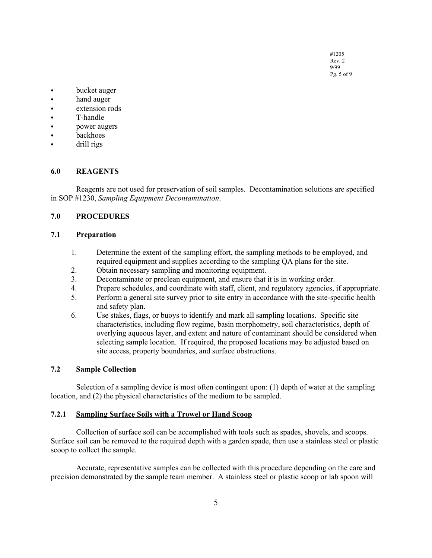#1205 Rev. 2 9/99 Pg. 5 of 9

- <span id="page-4-0"></span>• bucket auger
- hand auger
- extension rods
- T-handle
- power augers
- backhoes
- drill rigs

#### **6.0 REAGENTS**

Reagents are not used for preservation of soil samples. Decontamination solutions are specified in SOP #1230, *Sampling Equipment Decontamination*.

#### **7.0 PROCEDURES**

#### **7.1 Preparation**

- 1. Determine the extent of the sampling effort, the sampling methods to be employed, and required equipment and supplies according to the sampling QA plans for the site.
- 2. Obtain necessary sampling and monitoring equipment.
- 3. Decontaminate or preclean equipment, and ensure that it is in working order.
- 4. Prepare schedules, and coordinate with staff, client, and regulatory agencies, if appropriate.
- 5. Perform a general site survey prior to site entry in accordance with the site-specific health and safety plan.
- 6. Use stakes, flags, or buoys to identify and mark all sampling locations. Specific site characteristics, including flow regime, basin morphometry, soil characteristics, depth of overlying aqueous layer, and extent and nature of contaminant should be considered when selecting sample location. If required, the proposed locations may be adjusted based on site access, property boundaries, and surface obstructions.

# **7.2 Sample Collection**

Selection of a sampling device is most often contingent upon: (1) depth of water at the sampling location, and (2) the physical characteristics of the medium to be sampled.

#### **7.2.1 Sampling Surface Soils with a Trowel or Hand Scoop**

Collection of surface soil can be accomplished with tools such as spades, shovels, and scoops. Surface soil can be removed to the required depth with a garden spade, then use a stainless steel or plastic scoop to collect the sample.

Accurate, representative samples can be collected with this procedure depending on the care and precision demonstrated by the sample team member. A stainless steel or plastic scoop or lab spoon will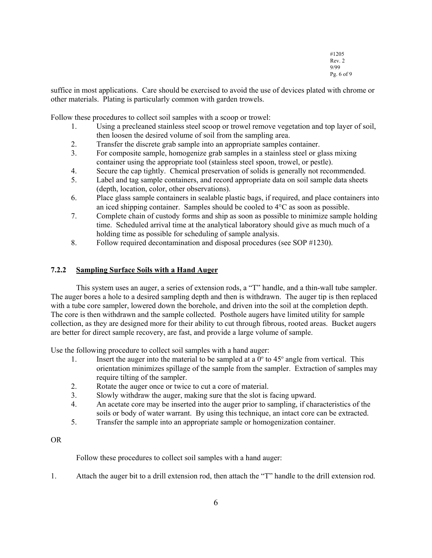#1205 Rev. 2 9/99 Pg. 6 of 9

suffice in most applications. Care should be exercised to avoid the use of devices plated with chrome or other materials. Plating is particularly common with garden trowels.

Follow these procedures to collect soil samples with a scoop or trowel:

- 1. Using a precleaned stainless steel scoop or trowel remove vegetation and top layer of soil, then loosen the desired volume of soil from the sampling area.
- 2. Transfer the discrete grab sample into an appropriate samples container.
- 3. For composite sample, homogenize grab samples in a stainless steel or glass mixing container using the appropriate tool (stainless steel spoon, trowel, or pestle).
- 4. Secure the cap tightly. Chemical preservation of solids is generally not recommended.
- 5. Label and tag sample containers, and record appropriate data on soil sample data sheets (depth, location, color, other observations).
- 6. Place glass sample containers in sealable plastic bags, if required, and place containers into an iced shipping container. Samples should be cooled to 4°C as soon as possible.
- 7. Complete chain of custody forms and ship as soon as possible to minimize sample holding time. Scheduled arrival time at the analytical laboratory should give as much much of a holding time as possible for scheduling of sample analysis.
- 8. Follow required decontamination and disposal procedures (see SOP #1230).

# **7.2.2 Sampling Surface Soils with a Hand Auger**

This system uses an auger, a series of extension rods, a "T" handle, and a thin-wall tube sampler. The auger bores a hole to a desired sampling depth and then is withdrawn. The auger tip is then replaced with a tube core sampler, lowered down the borehole, and driven into the soil at the completion depth. The core is then withdrawn and the sample collected. Posthole augers have limited utility for sample collection, as they are designed more for their ability to cut through fibrous, rooted areas. Bucket augers are better for direct sample recovery, are fast, and provide a large volume of sample.

Use the following procedure to collect soil samples with a hand auger:

- 1. Insert the auger into the material to be sampled at a  $0^{\circ}$  to  $45^{\circ}$  angle from vertical. This orientation minimizes spillage of the sample from the sampler. Extraction of samples may require tilting of the sampler.
- 2. Rotate the auger once or twice to cut a core of material.
- 3. Slowly withdraw the auger, making sure that the slot is facing upward.
- 4. An acetate core may be inserted into the auger prior to sampling, if characteristics of the soils or body of water warrant. By using this technique, an intact core can be extracted.
- 5. Transfer the sample into an appropriate sample or homogenization container.

OR

Follow these procedures to collect soil samples with a hand auger:

1. Attach the auger bit to a drill extension rod, then attach the "T" handle to the drill extension rod.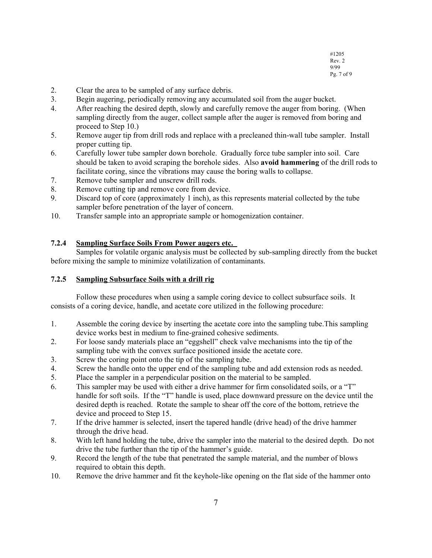- 2. Clear the area to be sampled of any surface debris.
- 3. Begin augering, periodically removing any accumulated soil from the auger bucket.
- 4. After reaching the desired depth, slowly and carefully remove the auger from boring. (When sampling directly from the auger, collect sample after the auger is removed from boring and proceed to Step 10.)
- 5. Remove auger tip from drill rods and replace with a precleaned thin-wall tube sampler. Install proper cutting tip.
- 6. Carefully lower tube sampler down borehole. Gradually force tube sampler into soil. Care should be taken to avoid scraping the borehole sides. Also **avoid hammering** of the drill rods to facilitate coring, since the vibrations may cause the boring walls to collapse.
- 7. Remove tube sampler and unscrew drill rods.
- 8. Remove cutting tip and remove core from device.
- 9. Discard top of core (approximately 1 inch), as this represents material collected by the tube sampler before penetration of the layer of concern.
- 10. Transfer sample into an appropriate sample or homogenization container.

# **7.2.4 Sampling Surface Soils From Power augers etc.**

Samples for volatile organic analysis must be collected by sub-sampling directly from the bucket before mixing the sample to minimize volatilization of contaminants.

# **7.2.5 Sampling Subsurface Soils with a drill rig**

Follow these procedures when using a sample coring device to collect subsurface soils. It consists of a coring device, handle, and acetate core utilized in the following procedure:

- 1. Assemble the coring device by inserting the acetate core into the sampling tube.This sampling device works best in medium to fine-grained cohesive sediments.
- 2. For loose sandy materials place an "eggshell" check valve mechanisms into the tip of the sampling tube with the convex surface positioned inside the acetate core.
- 3. Screw the coring point onto the tip of the sampling tube.
- 4. Screw the handle onto the upper end of the sampling tube and add extension rods as needed.
- 5. Place the sampler in a perpendicular position on the material to be sampled.
- 6. This sampler may be used with either a drive hammer for firm consolidated soils, or a "T" handle for soft soils. If the "T" handle is used, place downward pressure on the device until the desired depth is reached. Rotate the sample to shear off the core of the bottom, retrieve the device and proceed to Step 15.
- 7. If the drive hammer is selected, insert the tapered handle (drive head) of the drive hammer through the drive head.
- 8. With left hand holding the tube, drive the sampler into the material to the desired depth. Do not drive the tube further than the tip of the hammer's guide.
- 9. Record the length of the tube that penetrated the sample material, and the number of blows required to obtain this depth.
- 10. Remove the drive hammer and fit the keyhole-like opening on the flat side of the hammer onto